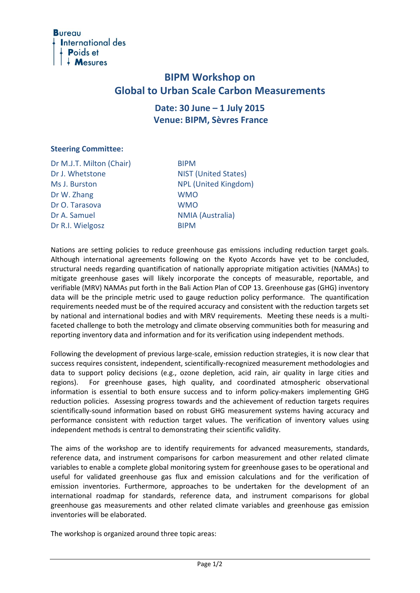

# **BIPM Workshop on Global to Urban Scale Carbon Measurements**

## **Date: 30 June – 1 July 2015 Venue: BIPM, Sèvres France**

#### **Steering Committee:**

Dr M.J.T. Milton (Chair) BIPM Dr J. Whetstone NIST (United States) Ms J. Burston NPL (United Kingdom) Dr W. Zhang WMO Dr O. Tarasova WMO Dr A. Samuel NMIA (Australia) Dr R.I. Wielgosz BIPM

Nations are setting policies to reduce greenhouse gas emissions including reduction target goals. Although international agreements following on the Kyoto Accords have yet to be concluded, structural needs regarding quantification of nationally appropriate mitigation activities (NAMAs) to mitigate greenhouse gases will likely incorporate the concepts of measurable, reportable, and verifiable (MRV) NAMAs put forth in the Bali Action Plan of COP 13. Greenhouse gas (GHG) inventory data will be the principle metric used to gauge reduction policy performance. The quantification requirements needed must be of the required accuracy and consistent with the reduction targets set by national and international bodies and with MRV requirements. Meeting these needs is a multifaceted challenge to both the metrology and climate observing communities both for measuring and reporting inventory data and information and for its verification using independent methods.

Following the development of previous large-scale, emission reduction strategies, it is now clear that success requires consistent, independent, scientifically-recognized measurement methodologies and data to support policy decisions (e.g., ozone depletion, acid rain, air quality in large cities and regions). For greenhouse gases, high quality, and coordinated atmospheric observational information is essential to both ensure success and to inform policy-makers implementing GHG reduction policies. Assessing progress towards and the achievement of reduction targets requires scientifically-sound information based on robust GHG measurement systems having accuracy and performance consistent with reduction target values. The verification of inventory values using independent methods is central to demonstrating their scientific validity.

The aims of the workshop are to identify requirements for advanced measurements, standards, reference data, and instrument comparisons for carbon measurement and other related climate variables to enable a complete global monitoring system for greenhouse gases to be operational and useful for validated greenhouse gas flux and emission calculations and for the verification of emission inventories. Furthermore, approaches to be undertaken for the development of an international roadmap for standards, reference data, and instrument comparisons for global greenhouse gas measurements and other related climate variables and greenhouse gas emission inventories will be elaborated.

The workshop is organized around three topic areas: